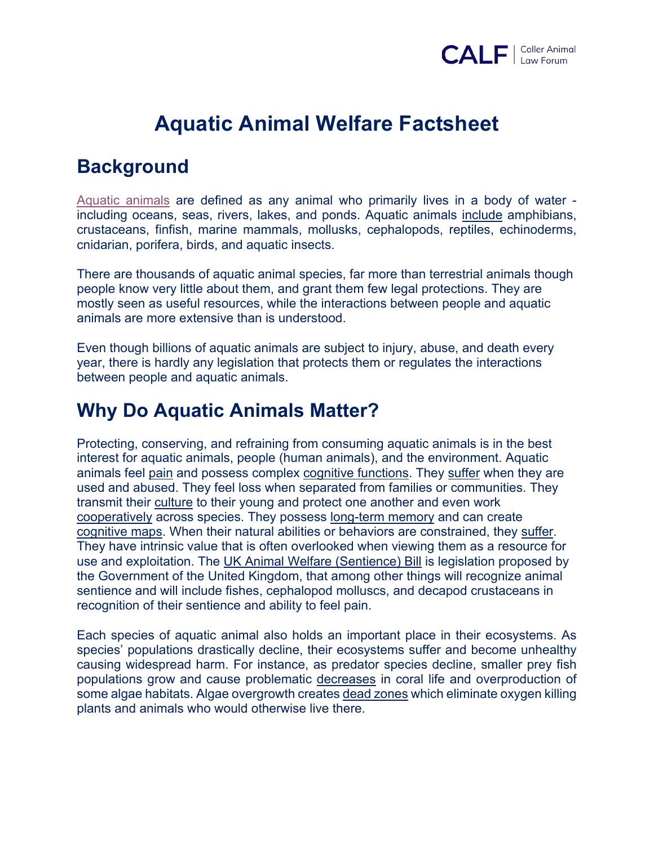

# **Aquatic Animal Welfare Factsheet**

### **Background**

Aquatic animals are defined as any animal who primarily lives in a body of water including oceans, seas, rivers, lakes, and ponds. Aquatic animals include amphibians, crustaceans, finfish, marine mammals, mollusks, cephalopods, reptiles, echinoderms, cnidarian, porifera, birds, and aquatic insects.

There are thousands of aquatic animal species, far more than terrestrial animals though people know very little about them, and grant them few legal protections. They are mostly seen as useful resources, while the interactions between people and aquatic animals are more extensive than is understood.

Even though billions of aquatic animals are subject to injury, abuse, and death every year, there is hardly any legislation that protects them or regulates the interactions between people and aquatic animals.

### **Why Do Aquatic Animals Matter?**

Protecting, conserving, and refraining from consuming aquatic animals is in the best interest for aquatic animals, people (human animals), and the environment. Aquatic animals feel pain and possess complex cognitive functions. They suffer when they are used and abused. They feel loss when separated from families or communities. They transmit their culture to their young and protect one another and even work cooperatively across species. They possess long-term memory and can create cognitive maps. When their natural abilities or behaviors are constrained, they suffer. They have intrinsic value that is often overlooked when viewing them as a resource for use and exploitation. The UK Animal Welfare (Sentience) Bill is legislation proposed by the Government of the United Kingdom, that among other things will recognize animal sentience and will include fishes, cephalopod molluscs, and decapod crustaceans in recognition of their sentience and ability to feel pain.

Each species of aquatic animal also holds an important place in their ecosystems. As species' populations drastically decline, their ecosystems suffer and become unhealthy causing widespread harm. For instance, as predator species decline, smaller prey fish populations grow and cause problematic decreases in coral life and overproduction of some algae habitats. Algae overgrowth creates dead zones which eliminate oxygen killing plants and animals who would otherwise live there.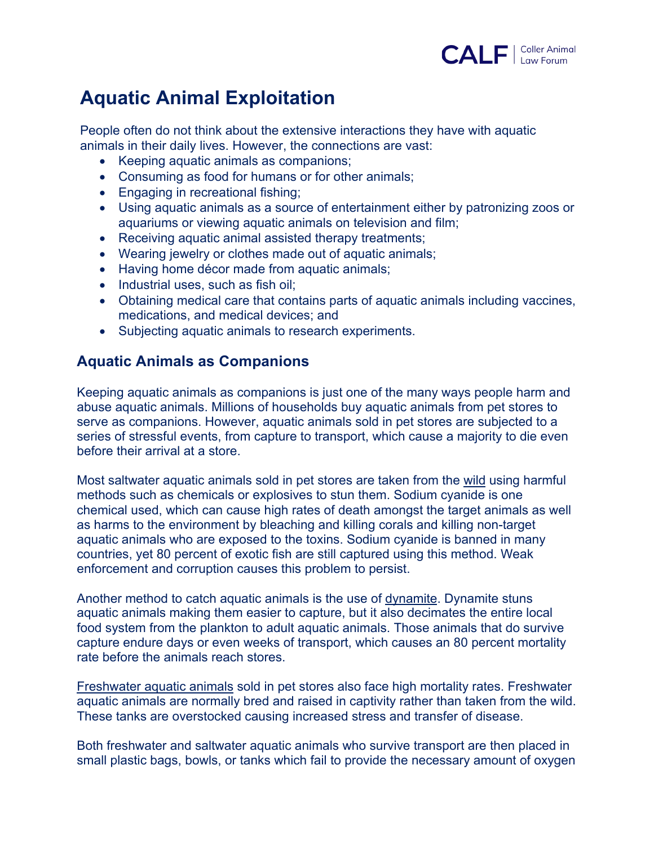

## **Aquatic Animal Exploitation**

People often do not think about the extensive interactions they have with aquatic animals in their daily lives. However, the connections are vast:

- Keeping aquatic animals as companions;
- Consuming as food for humans or for other animals;
- Engaging in recreational fishing;
- Using aquatic animals as a source of entertainment either by patronizing zoos or aquariums or viewing aquatic animals on television and film;
- Receiving aquatic animal assisted therapy treatments;
- Wearing jewelry or clothes made out of aquatic animals;
- Having home décor made from aquatic animals;
- Industrial uses, such as fish oil;
- Obtaining medical care that contains parts of aquatic animals including vaccines, medications, and medical devices; and
- Subjecting aquatic animals to research experiments.

#### **Aquatic Animals as Companions**

Keeping aquatic animals as companions is just one of the many ways people harm and abuse aquatic animals. Millions of households buy aquatic animals from pet stores to serve as companions. However, aquatic animals sold in pet stores are subjected to a series of stressful events, from capture to transport, which cause a majority to die even before their arrival at a store.

Most saltwater aquatic animals sold in pet stores are taken from the wild using harmful methods such as chemicals or explosives to stun them. Sodium cyanide is one chemical used, which can cause high rates of death amongst the target animals as well as harms to the environment by bleaching and killing corals and killing non-target aquatic animals who are exposed to the toxins. Sodium cyanide is banned in many countries, yet 80 percent of exotic fish are still captured using this method. Weak enforcement and corruption causes this problem to persist.

Another method to catch aquatic animals is the use of dynamite. Dynamite stuns aquatic animals making them easier to capture, but it also decimates the entire local food system from the plankton to adult aquatic animals. Those animals that do survive capture endure days or even weeks of transport, which causes an 80 percent mortality rate before the animals reach stores.

Freshwater aquatic animals sold in pet stores also face high mortality rates. Freshwater aquatic animals are normally bred and raised in captivity rather than taken from the wild. These tanks are overstocked causing increased stress and transfer of disease.

Both freshwater and saltwater aquatic animals who survive transport are then placed in small plastic bags, bowls, or tanks which fail to provide the necessary amount of oxygen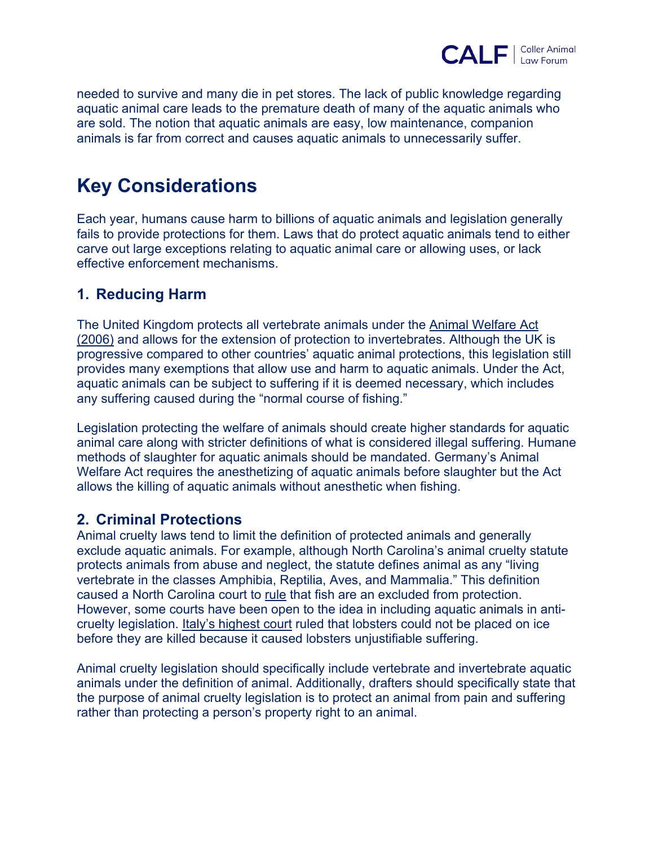

needed to survive and many die in pet stores. The lack of public knowledge regarding aquatic animal care leads to the premature death of many of the aquatic animals who are sold. The notion that aquatic animals are easy, low maintenance, companion animals is far from correct and causes aquatic animals to unnecessarily suffer.

### **Key Considerations**

Each year, humans cause harm to billions of aquatic animals and legislation generally fails to provide protections for them. Laws that do protect aquatic animals tend to either carve out large exceptions relating to aquatic animal care or allowing uses, or lack effective enforcement mechanisms.

#### **1. Reducing Harm**

The United Kingdom protects all vertebrate animals under the Animal Welfare Act (2006) and allows for the extension of protection to invertebrates. Although the UK is progressive compared to other countries' aquatic animal protections, this legislation still provides many exemptions that allow use and harm to aquatic animals. Under the Act, aquatic animals can be subject to suffering if it is deemed necessary, which includes any suffering caused during the "normal course of fishing."

Legislation protecting the welfare of animals should create higher standards for aquatic animal care along with stricter definitions of what is considered illegal suffering. Humane methods of slaughter for aquatic animals should be mandated. Germany's Animal Welfare Act requires the anesthetizing of aquatic animals before slaughter but the Act allows the killing of aquatic animals without anesthetic when fishing.

#### **2. Criminal Protections**

Animal cruelty laws tend to limit the definition of protected animals and generally exclude aquatic animals. For example, although North Carolina's animal cruelty statute protects animals from abuse and neglect, the statute defines animal as any "living vertebrate in the classes Amphibia, Reptilia, Aves, and Mammalia." This definition caused a North Carolina court to rule that fish are an excluded from protection. However, some courts have been open to the idea in including aquatic animals in anticruelty legislation. Italy's highest court ruled that lobsters could not be placed on ice before they are killed because it caused lobsters unjustifiable suffering.

Animal cruelty legislation should specifically include vertebrate and invertebrate aquatic animals under the definition of animal. Additionally, drafters should specifically state that the purpose of animal cruelty legislation is to protect an animal from pain and suffering rather than protecting a person's property right to an animal.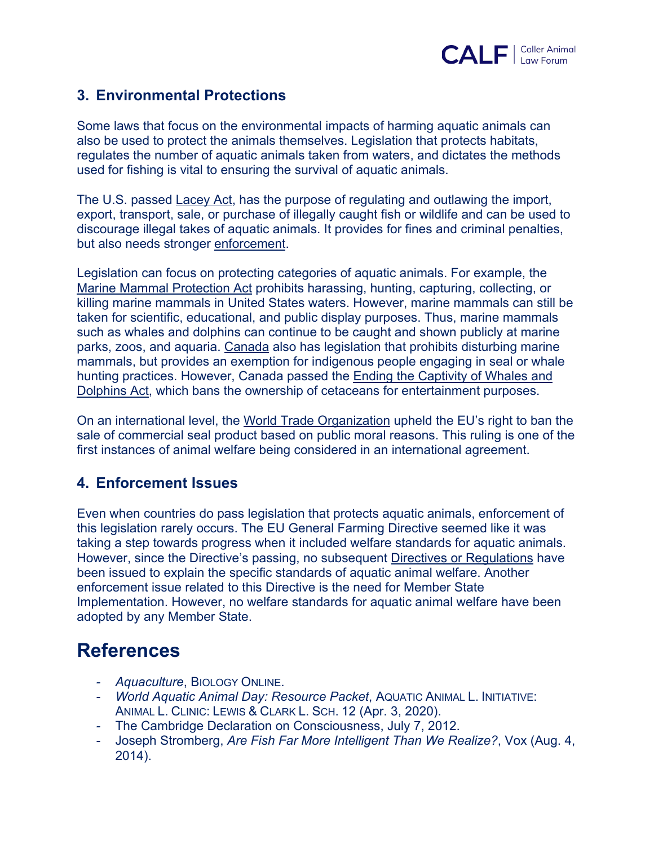

#### **3. Environmental Protections**

Some laws that focus on the environmental impacts of harming aquatic animals can also be used to protect the animals themselves. Legislation that protects habitats, regulates the number of aquatic animals taken from waters, and dictates the methods used for fishing is vital to ensuring the survival of aquatic animals.

The U.S. passed Lacey Act, has the purpose of regulating and outlawing the import, export, transport, sale, or purchase of illegally caught fish or wildlife and can be used to discourage illegal takes of aquatic animals. It provides for fines and criminal penalties, but also needs stronger enforcement.

Legislation can focus on protecting categories of aquatic animals. For example, the Marine Mammal Protection Act prohibits harassing, hunting, capturing, collecting, or killing marine mammals in United States waters. However, marine mammals can still be taken for scientific, educational, and public display purposes. Thus, marine mammals such as whales and dolphins can continue to be caught and shown publicly at marine parks, zoos, and aquaria. Canada also has legislation that prohibits disturbing marine mammals, but provides an exemption for indigenous people engaging in seal or whale hunting practices. However, Canada passed the Ending the Captivity of Whales and Dolphins Act, which bans the ownership of cetaceans for entertainment purposes.

On an international level, the World Trade Organization upheld the EU's right to ban the sale of commercial seal product based on public moral reasons. This ruling is one of the first instances of animal welfare being considered in an international agreement.

#### **4. Enforcement Issues**

Even when countries do pass legislation that protects aquatic animals, enforcement of this legislation rarely occurs. The EU General Farming Directive seemed like it was taking a step towards progress when it included welfare standards for aquatic animals. However, since the Directive's passing, no subsequent Directives or Regulations have been issued to explain the specific standards of aquatic animal welfare. Another enforcement issue related to this Directive is the need for Member State Implementation. However, no welfare standards for aquatic animal welfare have been adopted by any Member State.

### **References**

- *- Aquaculture*, BIOLOGY ONLINE.
- *- World Aquatic Animal Day: Resource Packet*, AQUATIC ANIMAL L. INITIATIVE: ANIMAL L. CLINIC: LEWIS & CLARK L. SCH. 12 (Apr. 3, 2020).
- *-* The Cambridge Declaration on Consciousness, July 7, 2012.
- *-* Joseph Stromberg, *Are Fish Far More Intelligent Than We Realize?*, Vox (Aug. 4, 2014).